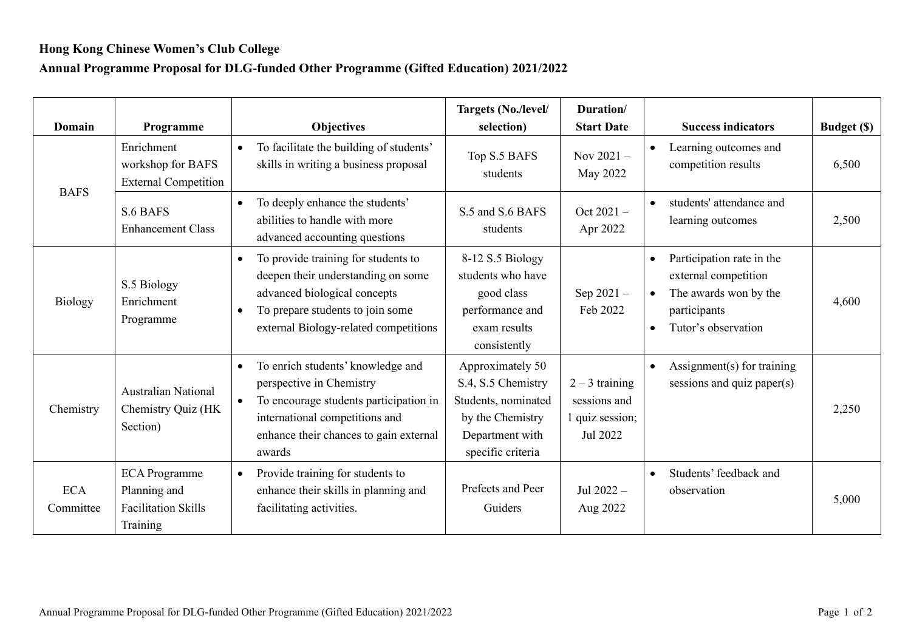## **Hong Kong Chinese Women's Club College**

## **Annual Programme Proposal for DLG-funded Other Programme (Gifted Education) 2021/2022**

| Domain                  | Programme                                                                      | <b>Objectives</b>                                                                                                                                                                                                       | Targets (No./level/<br>selection)                                                                                         | Duration/<br><b>Start Date</b>                                  | <b>Success indicators</b>                                                                                                                                | Budget (\$) |
|-------------------------|--------------------------------------------------------------------------------|-------------------------------------------------------------------------------------------------------------------------------------------------------------------------------------------------------------------------|---------------------------------------------------------------------------------------------------------------------------|-----------------------------------------------------------------|----------------------------------------------------------------------------------------------------------------------------------------------------------|-------------|
| <b>BAFS</b>             | Enrichment<br>workshop for BAFS<br><b>External Competition</b>                 | To facilitate the building of students'<br>$\bullet$<br>skills in writing a business proposal                                                                                                                           | Top S.5 BAFS<br>students                                                                                                  | Nov $2021 -$<br>May 2022                                        | Learning outcomes and<br>competition results                                                                                                             | 6,500       |
|                         | S.6 BAFS<br><b>Enhancement Class</b>                                           | To deeply enhance the students'<br>$\bullet$<br>abilities to handle with more<br>advanced accounting questions                                                                                                          | S.5 and S.6 BAFS<br>students                                                                                              | Oct 2021-<br>Apr 2022                                           | students' attendance and<br>learning outcomes                                                                                                            | 2,500       |
| Biology                 | S.5 Biology<br>Enrichment<br>Programme                                         | To provide training for students to<br>$\bullet$<br>deepen their understanding on some<br>advanced biological concepts<br>To prepare students to join some<br>$\bullet$<br>external Biology-related competitions        | 8-12 S.5 Biology<br>students who have<br>good class<br>performance and<br>exam results<br>consistently                    | Sep $2021 -$<br>Feb 2022                                        | Participation rate in the<br>$\bullet$<br>external competition<br>The awards won by the<br>$\bullet$<br>participants<br>Tutor's observation<br>$\bullet$ | 4,600       |
| Chemistry               | <b>Australian National</b><br>Chemistry Quiz (HK<br>Section)                   | To enrich students' knowledge and<br>$\bullet$<br>perspective in Chemistry<br>To encourage students participation in<br>$\bullet$<br>international competitions and<br>enhance their chances to gain external<br>awards | Approximately 50<br>S.4, S.5 Chemistry<br>Students, nominated<br>by the Chemistry<br>Department with<br>specific criteria | $2 - 3$ training<br>sessions and<br>1 quiz session;<br>Jul 2022 | Assignment(s) for training<br>$\bullet$<br>sessions and quiz paper(s)                                                                                    | 2,250       |
| <b>ECA</b><br>Committee | <b>ECA</b> Programme<br>Planning and<br><b>Facilitation Skills</b><br>Training | Provide training for students to<br>$\bullet$<br>enhance their skills in planning and<br>facilitating activities.                                                                                                       | Prefects and Peer<br>Guiders                                                                                              | Jul $2022 -$<br>Aug 2022                                        | Students' feedback and<br>$\bullet$<br>observation                                                                                                       | 5,000       |